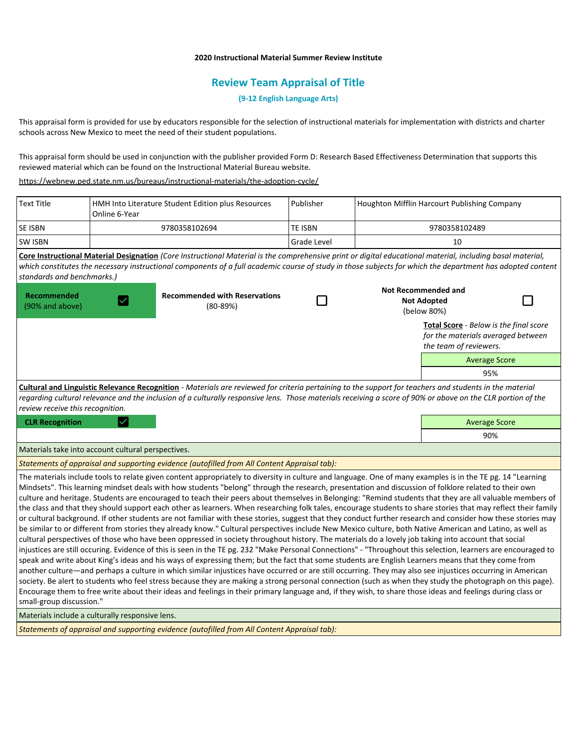### **2020 Instructional Material Summer Review Institute**

# **Review Team Appraisal of Title**

**(9-12 English Language Arts)**

This appraisal form is provided for use by educators responsible for the selection of instructional materials for implementation with districts and charter schools across New Mexico to meet the need of their student populations.

This appraisal form should be used in conjunction with the publisher provided Form D: Research Based Effectiveness Determination that supports this reviewed material which can be found on the Instructional Material Bureau website.

<https://webnew.ped.state.nm.us/bureaus/instructional-materials/the-adoption-cycle/>

| <b>Text Title</b>                                                                                                                                                                                                                                                                                                                                                                                                                                                                                                                                                                                                                                                                                                                                                                                                                                                                                                                                                                                                                                                                                                                                                                                                                                                                                                                                                                                                                                                                                                                                                                                                                                                                                                                                                                                                                                                                                                                                                                                                                   | HMH Into Literature Student Edition plus Resources<br>Online 6-Year |                                                    | Publisher            | Houghton Mifflin Harcourt Publishing Company |                                               |     |  |
|-------------------------------------------------------------------------------------------------------------------------------------------------------------------------------------------------------------------------------------------------------------------------------------------------------------------------------------------------------------------------------------------------------------------------------------------------------------------------------------------------------------------------------------------------------------------------------------------------------------------------------------------------------------------------------------------------------------------------------------------------------------------------------------------------------------------------------------------------------------------------------------------------------------------------------------------------------------------------------------------------------------------------------------------------------------------------------------------------------------------------------------------------------------------------------------------------------------------------------------------------------------------------------------------------------------------------------------------------------------------------------------------------------------------------------------------------------------------------------------------------------------------------------------------------------------------------------------------------------------------------------------------------------------------------------------------------------------------------------------------------------------------------------------------------------------------------------------------------------------------------------------------------------------------------------------------------------------------------------------------------------------------------------------|---------------------------------------------------------------------|----------------------------------------------------|----------------------|----------------------------------------------|-----------------------------------------------|-----|--|
| SE ISBN                                                                                                                                                                                                                                                                                                                                                                                                                                                                                                                                                                                                                                                                                                                                                                                                                                                                                                                                                                                                                                                                                                                                                                                                                                                                                                                                                                                                                                                                                                                                                                                                                                                                                                                                                                                                                                                                                                                                                                                                                             |                                                                     | 9780358102694<br><b>TE ISBN</b><br>9780358102489   |                      |                                              |                                               |     |  |
| SW ISBN                                                                                                                                                                                                                                                                                                                                                                                                                                                                                                                                                                                                                                                                                                                                                                                                                                                                                                                                                                                                                                                                                                                                                                                                                                                                                                                                                                                                                                                                                                                                                                                                                                                                                                                                                                                                                                                                                                                                                                                                                             | <b>Grade Level</b>                                                  |                                                    |                      | 10                                           |                                               |     |  |
| Core Instructional Material Designation (Core Instructional Material is the comprehensive print or digital educational material, including basal material,                                                                                                                                                                                                                                                                                                                                                                                                                                                                                                                                                                                                                                                                                                                                                                                                                                                                                                                                                                                                                                                                                                                                                                                                                                                                                                                                                                                                                                                                                                                                                                                                                                                                                                                                                                                                                                                                          |                                                                     |                                                    |                      |                                              |                                               |     |  |
| which constitutes the necessary instructional components of a full academic course of study in those subjects for which the department has adopted content                                                                                                                                                                                                                                                                                                                                                                                                                                                                                                                                                                                                                                                                                                                                                                                                                                                                                                                                                                                                                                                                                                                                                                                                                                                                                                                                                                                                                                                                                                                                                                                                                                                                                                                                                                                                                                                                          |                                                                     |                                                    |                      |                                              |                                               |     |  |
| standards and benchmarks.)                                                                                                                                                                                                                                                                                                                                                                                                                                                                                                                                                                                                                                                                                                                                                                                                                                                                                                                                                                                                                                                                                                                                                                                                                                                                                                                                                                                                                                                                                                                                                                                                                                                                                                                                                                                                                                                                                                                                                                                                          |                                                                     |                                                    |                      |                                              |                                               |     |  |
|                                                                                                                                                                                                                                                                                                                                                                                                                                                                                                                                                                                                                                                                                                                                                                                                                                                                                                                                                                                                                                                                                                                                                                                                                                                                                                                                                                                                                                                                                                                                                                                                                                                                                                                                                                                                                                                                                                                                                                                                                                     |                                                                     |                                                    |                      |                                              | <b>Not Recommended and</b>                    |     |  |
| Recommended<br>(90% and above)                                                                                                                                                                                                                                                                                                                                                                                                                                                                                                                                                                                                                                                                                                                                                                                                                                                                                                                                                                                                                                                                                                                                                                                                                                                                                                                                                                                                                                                                                                                                                                                                                                                                                                                                                                                                                                                                                                                                                                                                      | $\checkmark$                                                        | <b>Recommended with Reservations</b><br>$(80-89%)$ |                      |                                              | <b>Not Adopted</b>                            |     |  |
|                                                                                                                                                                                                                                                                                                                                                                                                                                                                                                                                                                                                                                                                                                                                                                                                                                                                                                                                                                                                                                                                                                                                                                                                                                                                                                                                                                                                                                                                                                                                                                                                                                                                                                                                                                                                                                                                                                                                                                                                                                     |                                                                     |                                                    |                      |                                              | (below 80%)                                   |     |  |
|                                                                                                                                                                                                                                                                                                                                                                                                                                                                                                                                                                                                                                                                                                                                                                                                                                                                                                                                                                                                                                                                                                                                                                                                                                                                                                                                                                                                                                                                                                                                                                                                                                                                                                                                                                                                                                                                                                                                                                                                                                     |                                                                     |                                                    |                      |                                              | <b>Total Score</b> - Below is the final score |     |  |
| for the materials averaged between                                                                                                                                                                                                                                                                                                                                                                                                                                                                                                                                                                                                                                                                                                                                                                                                                                                                                                                                                                                                                                                                                                                                                                                                                                                                                                                                                                                                                                                                                                                                                                                                                                                                                                                                                                                                                                                                                                                                                                                                  |                                                                     |                                                    |                      |                                              |                                               |     |  |
|                                                                                                                                                                                                                                                                                                                                                                                                                                                                                                                                                                                                                                                                                                                                                                                                                                                                                                                                                                                                                                                                                                                                                                                                                                                                                                                                                                                                                                                                                                                                                                                                                                                                                                                                                                                                                                                                                                                                                                                                                                     |                                                                     |                                                    |                      |                                              | the team of reviewers.                        |     |  |
|                                                                                                                                                                                                                                                                                                                                                                                                                                                                                                                                                                                                                                                                                                                                                                                                                                                                                                                                                                                                                                                                                                                                                                                                                                                                                                                                                                                                                                                                                                                                                                                                                                                                                                                                                                                                                                                                                                                                                                                                                                     |                                                                     |                                                    | <b>Average Score</b> |                                              |                                               |     |  |
|                                                                                                                                                                                                                                                                                                                                                                                                                                                                                                                                                                                                                                                                                                                                                                                                                                                                                                                                                                                                                                                                                                                                                                                                                                                                                                                                                                                                                                                                                                                                                                                                                                                                                                                                                                                                                                                                                                                                                                                                                                     |                                                                     |                                                    | 95%                  |                                              |                                               |     |  |
| Cultural and Linguistic Relevance Recognition - Materials are reviewed for criteria pertaining to the support for teachers and students in the material                                                                                                                                                                                                                                                                                                                                                                                                                                                                                                                                                                                                                                                                                                                                                                                                                                                                                                                                                                                                                                                                                                                                                                                                                                                                                                                                                                                                                                                                                                                                                                                                                                                                                                                                                                                                                                                                             |                                                                     |                                                    |                      |                                              |                                               |     |  |
| regarding cultural relevance and the inclusion of a culturally responsive lens. Those materials receiving a score of 90% or above on the CLR portion of the                                                                                                                                                                                                                                                                                                                                                                                                                                                                                                                                                                                                                                                                                                                                                                                                                                                                                                                                                                                                                                                                                                                                                                                                                                                                                                                                                                                                                                                                                                                                                                                                                                                                                                                                                                                                                                                                         |                                                                     |                                                    |                      |                                              |                                               |     |  |
| review receive this recognition.                                                                                                                                                                                                                                                                                                                                                                                                                                                                                                                                                                                                                                                                                                                                                                                                                                                                                                                                                                                                                                                                                                                                                                                                                                                                                                                                                                                                                                                                                                                                                                                                                                                                                                                                                                                                                                                                                                                                                                                                    |                                                                     |                                                    |                      |                                              |                                               |     |  |
| <b>CLR Recognition</b>                                                                                                                                                                                                                                                                                                                                                                                                                                                                                                                                                                                                                                                                                                                                                                                                                                                                                                                                                                                                                                                                                                                                                                                                                                                                                                                                                                                                                                                                                                                                                                                                                                                                                                                                                                                                                                                                                                                                                                                                              |                                                                     |                                                    | <b>Average Score</b> |                                              |                                               |     |  |
|                                                                                                                                                                                                                                                                                                                                                                                                                                                                                                                                                                                                                                                                                                                                                                                                                                                                                                                                                                                                                                                                                                                                                                                                                                                                                                                                                                                                                                                                                                                                                                                                                                                                                                                                                                                                                                                                                                                                                                                                                                     |                                                                     |                                                    |                      |                                              |                                               | 90% |  |
| Materials take into account cultural perspectives.                                                                                                                                                                                                                                                                                                                                                                                                                                                                                                                                                                                                                                                                                                                                                                                                                                                                                                                                                                                                                                                                                                                                                                                                                                                                                                                                                                                                                                                                                                                                                                                                                                                                                                                                                                                                                                                                                                                                                                                  |                                                                     |                                                    |                      |                                              |                                               |     |  |
| Statements of appraisal and supporting evidence (autofilled from All Content Appraisal tab):                                                                                                                                                                                                                                                                                                                                                                                                                                                                                                                                                                                                                                                                                                                                                                                                                                                                                                                                                                                                                                                                                                                                                                                                                                                                                                                                                                                                                                                                                                                                                                                                                                                                                                                                                                                                                                                                                                                                        |                                                                     |                                                    |                      |                                              |                                               |     |  |
| The materials include tools to relate given content appropriately to diversity in culture and language. One of many examples is in the TE pg. 14 "Learning<br>Mindsets". This learning mindset deals with how students "belong" through the research, presentation and discussion of folklore related to their own<br>culture and heritage. Students are encouraged to teach their peers about themselves in Belonging: "Remind students that they are all valuable members of<br>the class and that they should support each other as learners. When researching folk tales, encourage students to share stories that may reflect their family<br>or cultural background. If other students are not familiar with these stories, suggest that they conduct further research and consider how these stories may<br>be similar to or different from stories they already know." Cultural perspectives include New Mexico culture, both Native American and Latino, as well as<br>cultural perspectives of those who have been oppressed in society throughout history. The materials do a lovely job taking into account that social<br>injustices are still occuring. Evidence of this is seen in the TE pg. 232 "Make Personal Connections" - "Throughout this selection, learners are encouraged to<br>speak and write about King's ideas and his ways of expressing them; but the fact that some students are English Learners means that they come from<br>another culture—and perhaps a culture in which similar injustices have occurred or are still occurring. They may also see injustices occurring in American<br>society. Be alert to students who feel stress because they are making a strong personal connection (such as when they study the photograph on this page).<br>Encourage them to free write about their ideas and feelings in their primary language and, if they wish, to share those ideas and feelings during class or<br>small-group discussion."<br>Materials include a culturally responsive lens. |                                                                     |                                                    |                      |                                              |                                               |     |  |
| to all concerted and concerting continues for taking the different All Content Associated to be                                                                                                                                                                                                                                                                                                                                                                                                                                                                                                                                                                                                                                                                                                                                                                                                                                                                                                                                                                                                                                                                                                                                                                                                                                                                                                                                                                                                                                                                                                                                                                                                                                                                                                                                                                                                                                                                                                                                     |                                                                     |                                                    |                      |                                              |                                               |     |  |
|                                                                                                                                                                                                                                                                                                                                                                                                                                                                                                                                                                                                                                                                                                                                                                                                                                                                                                                                                                                                                                                                                                                                                                                                                                                                                                                                                                                                                                                                                                                                                                                                                                                                                                                                                                                                                                                                                                                                                                                                                                     |                                                                     |                                                    |                      |                                              |                                               |     |  |

*Statements of appraisal and supporting evidence (autofilled from All Content Appraisal tab):*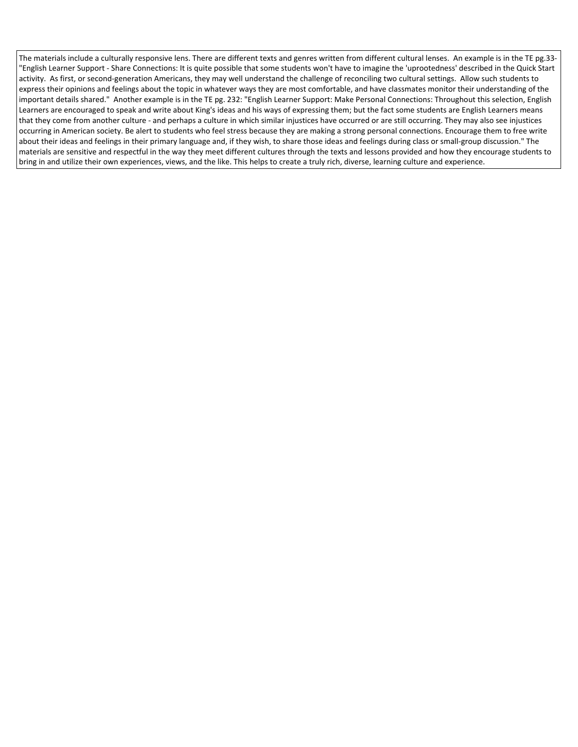The materials include a culturally responsive lens. There are different texts and genres written from different cultural lenses. An example is in the TE pg.33- "English Learner Support - Share Connections: It is quite possible that some students won't have to imagine the 'uprootedness' described in the Quick Start activity. As first, or second-generation Americans, they may well understand the challenge of reconciling two cultural settings. Allow such students to express their opinions and feelings about the topic in whatever ways they are most comfortable, and have classmates monitor their understanding of the important details shared." Another example is in the TE pg. 232: "English Learner Support: Make Personal Connections: Throughout this selection, English Learners are encouraged to speak and write about King's ideas and his ways of expressing them; but the fact some students are English Learners means that they come from another culture - and perhaps a culture in which similar injustices have occurred or are still occurring. They may also see injustices occurring in American society. Be alert to students who feel stress because they are making a strong personal connections. Encourage them to free write about their ideas and feelings in their primary language and, if they wish, to share those ideas and feelings during class or small-group discussion." The materials are sensitive and respectful in the way they meet different cultures through the texts and lessons provided and how they encourage students to bring in and utilize their own experiences, views, and the like. This helps to create a truly rich, diverse, learning culture and experience.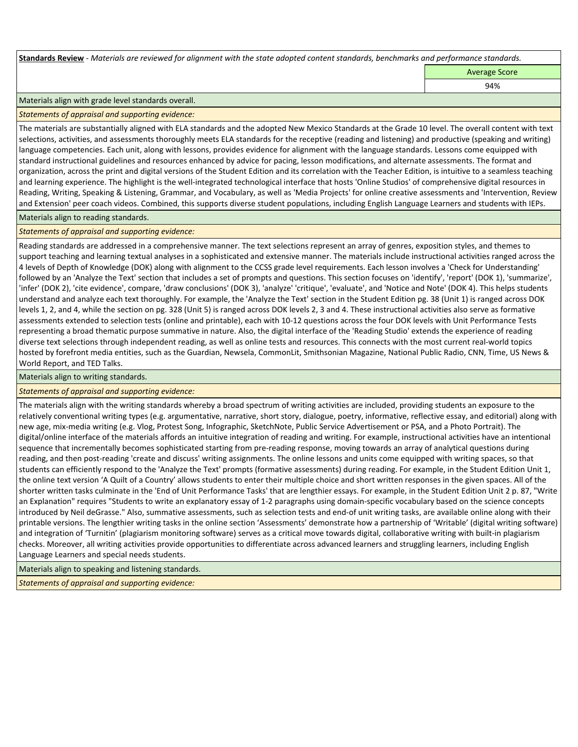**Standards Review** *- Materials are reviewed for alignment with the state adopted content standards, benchmarks and performance standards.*

Average Score

94%

#### Materials align with grade level standards overall.

*Statements of appraisal and supporting evidence:* 

The materials are substantially aligned with ELA standards and the adopted New Mexico Standards at the Grade 10 level. The overall content with text selections, activities, and assessments thoroughly meets ELA standards for the receptive (reading and listening) and productive (speaking and writing) language competencies. Each unit, along with lessons, provides evidence for alignment with the language standards. Lessons come equipped with standard instructional guidelines and resources enhanced by advice for pacing, lesson modifications, and alternate assessments. The format and organization, across the print and digital versions of the Student Edition and its correlation with the Teacher Edition, is intuitive to a seamless teaching and learning experience. The highlight is the well-integrated technological interface that hosts 'Online Studios' of comprehensive digital resources in Reading, Writing, Speaking & Listening, Grammar, and Vocabulary, as well as 'Media Projects' for online creative assessments and 'Intervention, Review and Extension' peer coach videos. Combined, this supports diverse student populations, including English Language Learners and students with IEPs.

Materials align to reading standards.

*Statements of appraisal and supporting evidence:* 

Reading standards are addressed in a comprehensive manner. The text selections represent an array of genres, exposition styles, and themes to support teaching and learning textual analyses in a sophisticated and extensive manner. The materials include instructional activities ranged across the 4 levels of Depth of Knowledge (DOK) along with alignment to the CCSS grade level requirements. Each lesson involves a 'Check for Understanding' followed by an 'Analyze the Text' section that includes a set of prompts and questions. This section focuses on 'identify', 'report' (DOK 1), 'summarize', 'infer' (DOK 2), 'cite evidence', compare, 'draw conclusions' (DOK 3), 'analyze' 'critique', 'evaluate', and 'Notice and Note' (DOK 4). This helps students understand and analyze each text thoroughly. For example, the 'Analyze the Text' section in the Student Edition pg. 38 (Unit 1) is ranged across DOK levels 1, 2, and 4, while the section on pg. 328 (Unit 5) is ranged across DOK levels 2, 3 and 4. These instructional activities also serve as formative assessments extended to selection tests (online and printable), each with 10-12 questions across the four DOK levels with Unit Performance Tests representing a broad thematic purpose summative in nature. Also, the digital interface of the 'Reading Studio' extends the experience of reading diverse text selections through independent reading, as well as online tests and resources. This connects with the most current real-world topics hosted by forefront media entities, such as the Guardian, Newsela, CommonLit, Smithsonian Magazine, National Public Radio, CNN, Time, US News & World Report, and TED Talks.

Materials align to writing standards.

*Statements of appraisal and supporting evidence:* 

The materials align with the writing standards whereby a broad spectrum of writing activities are included, providing students an exposure to the relatively conventional writing types (e.g. argumentative, narrative, short story, dialogue, poetry, informative, reflective essay, and editorial) along with new age, mix-media writing (e.g. Vlog, Protest Song, Infographic, SketchNote, Public Service Advertisement or PSA, and a Photo Portrait). The digital/online interface of the materials affords an intuitive integration of reading and writing. For example, instructional activities have an intentional sequence that incrementally becomes sophisticated starting from pre-reading response, moving towards an array of analytical questions during reading, and then post-reading 'create and discuss' writing assignments. The online lessons and units come equipped with writing spaces, so that students can efficiently respond to the 'Analyze the Text' prompts (formative assessments) during reading. For example, in the Student Edition Unit 1, the online text version 'A Quilt of a Country' allows students to enter their multiple choice and short written responses in the given spaces. All of the shorter written tasks culminate in the 'End of Unit Performance Tasks' that are lengthier essays. For example, in the Student Edition Unit 2 p. 87, "Write an Explanation" requires "Students to write an explanatory essay of 1-2 paragraphs using domain-specific vocabulary based on the science concepts introduced by Neil deGrasse." Also, summative assessments, such as selection tests and end-of unit writing tasks, are available online along with their printable versions. The lengthier writing tasks in the online section 'Assessments' demonstrate how a partnership of 'Writable' (digital writing software) and integration of 'Turnitin' (plagiarism monitoring software) serves as a critical move towards digital, collaborative writing with built-in plagiarism checks. Moreover, all writing activities provide opportunities to differentiate across advanced learners and struggling learners, including English Language Learners and special needs students.

Materials align to speaking and listening standards.

*Statements of appraisal and supporting evidence:*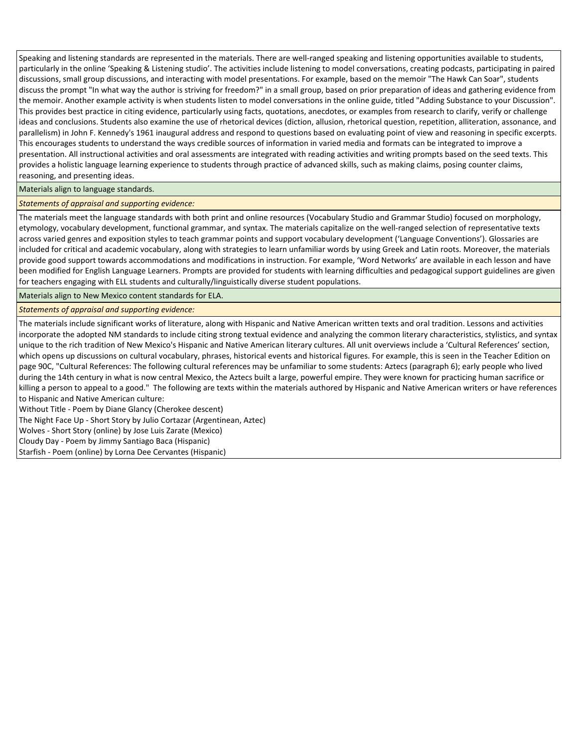Speaking and listening standards are represented in the materials. There are well-ranged speaking and listening opportunities available to students, particularly in the online 'Speaking & Listening studio'. The activities include listening to model conversations, creating podcasts, participating in paired discussions, small group discussions, and interacting with model presentations. For example, based on the memoir "The Hawk Can Soar", students discuss the prompt "In what way the author is striving for freedom?" in a small group, based on prior preparation of ideas and gathering evidence from the memoir. Another example activity is when students listen to model conversations in the online guide, titled "Adding Substance to your Discussion". This provides best practice in citing evidence, particularly using facts, quotations, anecdotes, or examples from research to clarify, verify or challenge ideas and conclusions. Students also examine the use of rhetorical devices (diction, allusion, rhetorical question, repetition, alliteration, assonance, and parallelism) in John F. Kennedy's 1961 inaugural address and respond to questions based on evaluating point of view and reasoning in specific excerpts. This encourages students to understand the ways credible sources of information in varied media and formats can be integrated to improve a presentation. All instructional activities and oral assessments are integrated with reading activities and writing prompts based on the seed texts. This provides a holistic language learning experience to students through practice of advanced skills, such as making claims, posing counter claims, reasoning, and presenting ideas.

#### Materials align to language standards.

*Statements of appraisal and supporting evidence:* 

The materials meet the language standards with both print and online resources (Vocabulary Studio and Grammar Studio) focused on morphology, etymology, vocabulary development, functional grammar, and syntax. The materials capitalize on the well-ranged selection of representative texts across varied genres and exposition styles to teach grammar points and support vocabulary development ('Language Conventions'). Glossaries are included for critical and academic vocabulary, along with strategies to learn unfamiliar words by using Greek and Latin roots. Moreover, the materials provide good support towards accommodations and modifications in instruction. For example, 'Word Networks' are available in each lesson and have been modified for English Language Learners. Prompts are provided for students with learning difficulties and pedagogical support guidelines are given for teachers engaging with ELL students and culturally/linguistically diverse student populations.

Materials align to New Mexico content standards for ELA.

*Statements of appraisal and supporting evidence:* 

The materials include significant works of literature, along with Hispanic and Native American written texts and oral tradition. Lessons and activities incorporate the adopted NM standards to include citing strong textual evidence and analyzing the common literary characteristics, stylistics, and syntax unique to the rich tradition of New Mexico's Hispanic and Native American literary cultures. All unit overviews include a 'Cultural References' section, which opens up discussions on cultural vocabulary, phrases, historical events and historical figures. For example, this is seen in the Teacher Edition on page 90C, "Cultural References: The following cultural references may be unfamiliar to some students: Aztecs (paragraph 6); early people who lived during the 14th century in what is now central Mexico, the Aztecs built a large, powerful empire. They were known for practicing human sacrifice or killing a person to appeal to a good." The following are texts within the materials authored by Hispanic and Native American writers or have references to Hispanic and Native American culture:

Without Title - Poem by Diane Glancy (Cherokee descent)

The Night Face Up - Short Story by Julio Cortazar (Argentinean, Aztec)

Wolves - Short Story (online) by Jose Luis Zarate (Mexico)

Cloudy Day - Poem by Jimmy Santiago Baca (Hispanic)

Starfish - Poem (online) by Lorna Dee Cervantes (Hispanic)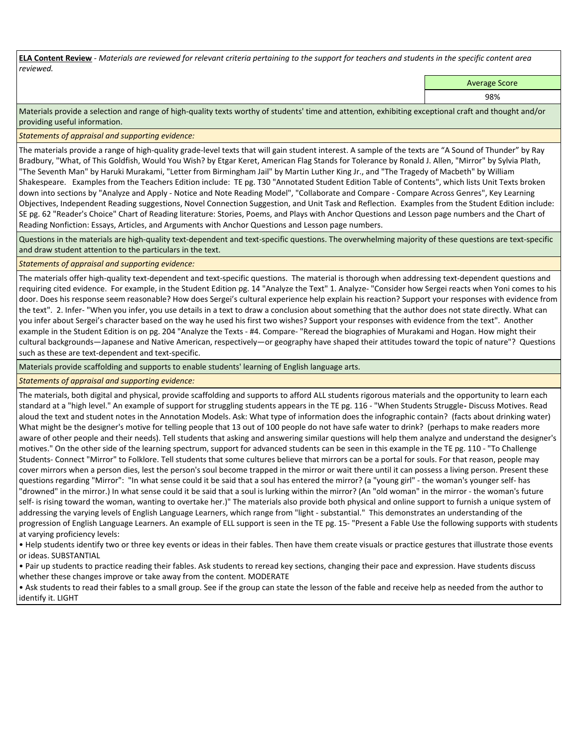**ELA Content Review** *- Materials are reviewed for relevant criteria pertaining to the support for teachers and students in the specific content area reviewed.*

Average Score

98%

Materials provide a selection and range of high-quality texts worthy of students' time and attention, exhibiting exceptional craft and thought and/or providing useful information.

*Statements of appraisal and supporting evidence:* 

The materials provide a range of high-quality grade-level texts that will gain student interest. A sample of the texts are "A Sound of Thunder" by Ray Bradbury, "What, of This Goldfish, Would You Wish? by Etgar Keret, American Flag Stands for Tolerance by Ronald J. Allen, "Mirror" by Sylvia Plath, "The Seventh Man" by Haruki Murakami, "Letter from Birmingham Jail" by Martin Luther King Jr., and "The Tragedy of Macbeth" by William Shakespeare. Examples from the Teachers Edition include: TE pg. T30 "Annotated Student Edition Table of Contents", which lists Unit Texts broken down into sections by "Analyze and Apply - Notice and Note Reading Model", "Collaborate and Compare - Compare Across Genres", Key Learning Objectives, Independent Reading suggestions, Novel Connection Suggestion, and Unit Task and Reflection. Examples from the Student Edition include: SE pg. 62 "Reader's Choice" Chart of Reading literature: Stories, Poems, and Plays with Anchor Questions and Lesson page numbers and the Chart of Reading Nonfiction: Essays, Articles, and Arguments with Anchor Questions and Lesson page numbers.

Questions in the materials are high-quality text-dependent and text-specific questions. The overwhelming majority of these questions are text-specific and draw student attention to the particulars in the text.

# *Statements of appraisal and supporting evidence:*

The materials offer high-quality text-dependent and text-specific questions. The material is thorough when addressing text-dependent questions and requiring cited evidence. For example, in the Student Edition pg. 14 "Analyze the Text" 1. Analyze- "Consider how Sergei reacts when Yoni comes to his door. Does his response seem reasonable? How does Sergei's cultural experience help explain his reaction? Support your responses with evidence from the text". 2. Infer- "When you infer, you use details in a text to draw a conclusion about something that the author does not state directly. What can you infer about Sergei's character based on the way he used his first two wishes? Support your responses with evidence from the text". Another example in the Student Edition is on pg. 204 "Analyze the Texts - #4. Compare- "Reread the biographies of Murakami and Hogan. How might their cultural backgrounds—Japanese and Native American, respectively—or geography have shaped their attitudes toward the topic of nature"? Questions such as these are text-dependent and text-specific.

Materials provide scaffolding and supports to enable students' learning of English language arts.

# *Statements of appraisal and supporting evidence:*

The materials, both digital and physical, provide scaffolding and supports to afford ALL students rigorous materials and the opportunity to learn each standard at a "high level." An example of support for struggling students appears in the TE pg. 116 - "When Students Struggle**-** Discuss Motives. Read aloud the text and student notes in the Annotation Models. Ask: What type of information does the infographic contain? (facts about drinking water) What might be the designer's motive for telling people that 13 out of 100 people do not have safe water to drink? (perhaps to make readers more aware of other people and their needs). Tell students that asking and answering similar questions will help them analyze and understand the designer's motives." On the other side of the learning spectrum, support for advanced students can be seen in this example in the TE pg. 110 - "To Challenge Students- Connect "Mirror" to Folklore. Tell students that some cultures believe that mirrors can be a portal for souls. For that reason, people may cover mirrors when a person dies, lest the person's soul become trapped in the mirror or wait there until it can possess a living person. Present these questions regarding "Mirror": "In what sense could it be said that a soul has entered the mirror? (a "young girl" - the woman's younger self- has "drowned" in the mirror.) In what sense could it be said that a soul is lurking within the mirror? (An "old woman" in the mirror - the woman's future self- is rising toward the woman, wanting to overtake her.)" The materials also provide both physical and online support to furnish a unique system of addressing the varying levels of English Language Learners, which range from "light - substantial." This demonstrates an understanding of the progression of English Language Learners. An example of ELL support is seen in the TE pg. 15- "Present a Fable Use the following supports with students at varying proficiency levels:

• Help students identify two or three key events or ideas in their fables. Then have them create visuals or practice gestures that illustrate those events or ideas. SUBSTANTIAL

• Pair up students to practice reading their fables. Ask students to reread key sections, changing their pace and expression. Have students discuss whether these changes improve or take away from the content. MODERATE

• Ask students to read their fables to a small group. See if the group can state the lesson of the fable and receive help as needed from the author to identify it. LIGHT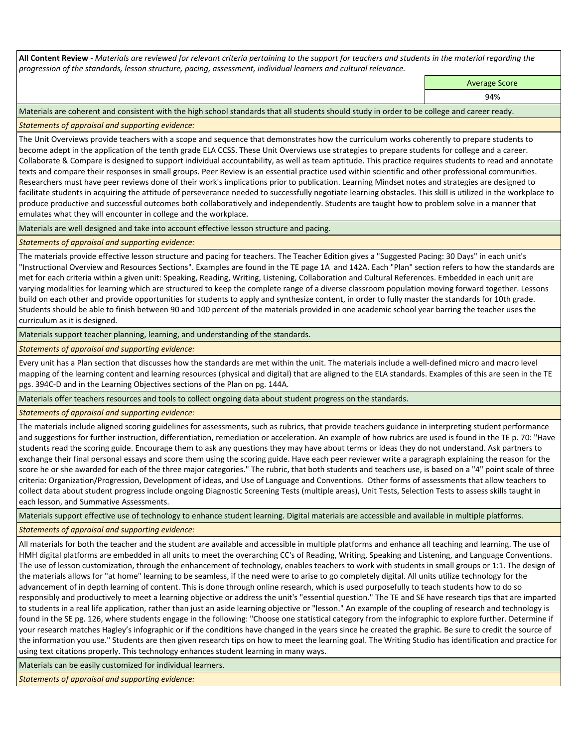**All Content Review** *- Materials are reviewed for relevant criteria pertaining to the support for teachers and students in the material regarding the progression of the standards, lesson structure, pacing, assessment, individual learners and cultural relevance.*

Average Score

94%

Materials are coherent and consistent with the high school standards that all students should study in order to be college and career ready.

*Statements of appraisal and supporting evidence:*

The Unit Overviews provide teachers with a scope and sequence that demonstrates how the curriculum works coherently to prepare students to become adept in the application of the tenth grade ELA CCSS. These Unit Overviews use strategies to prepare students for college and a career. Collaborate & Compare is designed to support individual accountability, as well as team aptitude. This practice requires students to read and annotate texts and compare their responses in small groups. Peer Review is an essential practice used within scientific and other professional communities. Researchers must have peer reviews done of their work's implications prior to publication. Learning Mindset notes and strategies are designed to facilitate students in acquiring the attitude of perseverance needed to successfully negotiate learning obstacles. This skill is utilized in the workplace to produce productive and successful outcomes both collaboratively and independently. Students are taught how to problem solve in a manner that emulates what they will encounter in college and the workplace.

Materials are well designed and take into account effective lesson structure and pacing.

# *Statements of appraisal and supporting evidence:*

The materials provide effective lesson structure and pacing for teachers. The Teacher Edition gives a "Suggested Pacing: 30 Days" in each unit's "Instructional Overview and Resources Sections". Examples are found in the TE page 1A and 142A. Each "Plan" section refers to how the standards are met for each criteria within a given unit: Speaking, Reading, Writing, Listening, Collaboration and Cultural References. Embedded in each unit are varying modalities for learning which are structured to keep the complete range of a diverse classroom population moving forward together. Lessons build on each other and provide opportunities for students to apply and synthesize content, in order to fully master the standards for 10th grade. Students should be able to finish between 90 and 100 percent of the materials provided in one academic school year barring the teacher uses the curriculum as it is designed.

Materials support teacher planning, learning, and understanding of the standards.

### *Statements of appraisal and supporting evidence:*

Every unit has a Plan section that discusses how the standards are met within the unit. The materials include a well-defined micro and macro level mapping of the learning content and learning resources (physical and digital) that are aligned to the ELA standards. Examples of this are seen in the TE pgs. 394C-D and in the Learning Objectives sections of the Plan on pg. 144A.

Materials offer teachers resources and tools to collect ongoing data about student progress on the standards.

*Statements of appraisal and supporting evidence:*

The materials include aligned scoring guidelines for assessments, such as rubrics, that provide teachers guidance in interpreting student performance and suggestions for further instruction, differentiation, remediation or acceleration. An example of how rubrics are used is found in the TE p. 70: "Have students read the scoring guide. Encourage them to ask any questions they may have about terms or ideas they do not understand. Ask partners to exchange their final personal essays and score them using the scoring guide. Have each peer reviewer write a paragraph explaining the reason for the score he or she awarded for each of the three major categories." The rubric, that both students and teachers use, is based on a "4" point scale of three criteria: Organization/Progression, Development of ideas, and Use of Language and Conventions. Other forms of assessments that allow teachers to collect data about student progress include ongoing Diagnostic Screening Tests (multiple areas), Unit Tests, Selection Tests to assess skills taught in each lesson, and Summative Assessments.

Materials support effective use of technology to enhance student learning. Digital materials are accessible and available in multiple platforms.

*Statements of appraisal and supporting evidence:*

All materials for both the teacher and the student are available and accessible in multiple platforms and enhance all teaching and learning. The use of HMH digital platforms are embedded in all units to meet the overarching CC's of Reading, Writing, Speaking and Listening, and Language Conventions. The use of lesson customization, through the enhancement of technology, enables teachers to work with students in small groups or 1:1. The design of the materials allows for "at home" learning to be seamless, if the need were to arise to go completely digital. All units utilize technology for the advancement of in depth learning of content. This is done through online research, which is used purposefully to teach students how to do so responsibly and productively to meet a learning objective or address the unit's "essential question." The TE and SE have research tips that are imparted to students in a real life application, rather than just an aside learning objective or "lesson." An example of the coupling of research and technology is found in the SE pg. 126, where students engage in the following: "Choose one statistical category from the infographic to explore further. Determine if your research matches Hagley's infographic or if the conditions have changed in the years since he created the graphic. Be sure to credit the source of the information you use." Students are then given research tips on how to meet the learning goal. The Writing Studio has identification and practice for using text citations properly. This technology enhances student learning in many ways.

Materials can be easily customized for individual learners.

*Statements of appraisal and supporting evidence:*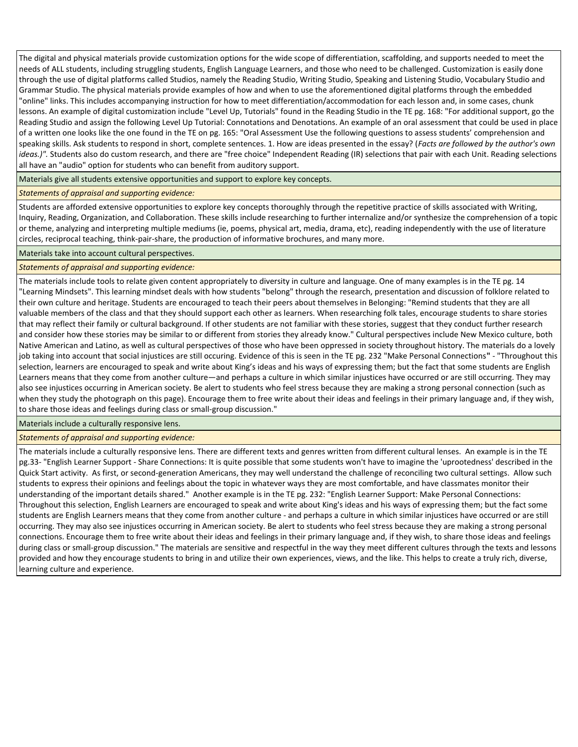The digital and physical materials provide customization options for the wide scope of differentiation, scaffolding, and supports needed to meet the needs of ALL students, including struggling students, English Language Learners, and those who need to be challenged. Customization is easily done through the use of digital platforms called Studios, namely the Reading Studio, Writing Studio, Speaking and Listening Studio, Vocabulary Studio and Grammar Studio. The physical materials provide examples of how and when to use the aforementioned digital platforms through the embedded "online" links. This includes accompanying instruction for how to meet differentiation/accommodation for each lesson and, in some cases, chunk lessons. An example of digital customization include "Level Up, Tutorials" found in the Reading Studio in the TE pg. 168: "For additional support, go the Reading Studio and assign the following Level Up Tutorial: Connotations and Denotations. An example of an oral assessment that could be used in place of a written one looks like the one found in the TE on pg. 165: "Oral Assessment Use the following questions to assess students' comprehension and speaking skills. Ask students to respond in short, complete sentences. 1. How are ideas presented in the essay? (*Facts are followed by the author's own ideas.)".* Students also do custom research, and there are "free choice" Independent Reading (IR) selections that pair with each Unit. Reading selections all have an "audio" option for students who can benefit from auditory support.

Materials give all students extensive opportunities and support to explore key concepts.

#### *Statements of appraisal and supporting evidence:*

Students are afforded extensive opportunities to explore key concepts thoroughly through the repetitive practice of skills associated with Writing, Inquiry, Reading, Organization, and Collaboration. These skills include researching to further internalize and/or synthesize the comprehension of a topic or theme, analyzing and interpreting multiple mediums (ie, poems, physical art, media, drama, etc), reading independently with the use of literature circles, reciprocal teaching, think-pair-share, the production of informative brochures, and many more.

Materials take into account cultural perspectives.

#### *Statements of appraisal and supporting evidence:*

The materials include tools to relate given content appropriately to diversity in culture and language. One of many examples is in the TE pg. 14 "Learning Mindsets". This learning mindset deals with how students "belong" through the research, presentation and discussion of folklore related to their own culture and heritage. Students are encouraged to teach their peers about themselves in Belonging: "Remind students that they are all valuable members of the class and that they should support each other as learners. When researching folk tales, encourage students to share stories that may reflect their family or cultural background. If other students are not familiar with these stories, suggest that they conduct further research and consider how these stories may be similar to or different from stories they already know." Cultural perspectives include New Mexico culture, both Native American and Latino, as well as cultural perspectives of those who have been oppressed in society throughout history. The materials do a lovely job taking into account that social injustices are still occuring. Evidence of this is seen in the TE pg. 232 "Make Personal Connections**"** - "Throughout this selection, learners are encouraged to speak and write about King's ideas and his ways of expressing them; but the fact that some students are English Learners means that they come from another culture—and perhaps a culture in which similar injustices have occurred or are still occurring. They may also see injustices occurring in American society. Be alert to students who feel stress because they are making a strong personal connection (such as when they study the photograph on this page). Encourage them to free write about their ideas and feelings in their primary language and, if they wish, to share those ideas and feelings during class or small-group discussion."

Materials include a culturally responsive lens.

#### *Statements of appraisal and supporting evidence:*

The materials include a culturally responsive lens. There are different texts and genres written from different cultural lenses. An example is in the TE pg.33- "English Learner Support - Share Connections: It is quite possible that some students won't have to imagine the 'uprootedness' described in the Quick Start activity. As first, or second-generation Americans, they may well understand the challenge of reconciling two cultural settings. Allow such students to express their opinions and feelings about the topic in whatever ways they are most comfortable, and have classmates monitor their understanding of the important details shared." Another example is in the TE pg. 232: "English Learner Support: Make Personal Connections: Throughout this selection, English Learners are encouraged to speak and write about King's ideas and his ways of expressing them; but the fact some students are English Learners means that they come from another culture - and perhaps a culture in which similar injustices have occurred or are still occurring. They may also see injustices occurring in American society. Be alert to students who feel stress because they are making a strong personal connections. Encourage them to free write about their ideas and feelings in their primary language and, if they wish, to share those ideas and feelings during class or small-group discussion." The materials are sensitive and respectful in the way they meet different cultures through the texts and lessons provided and how they encourage students to bring in and utilize their own experiences, views, and the like. This helps to create a truly rich, diverse, learning culture and experience.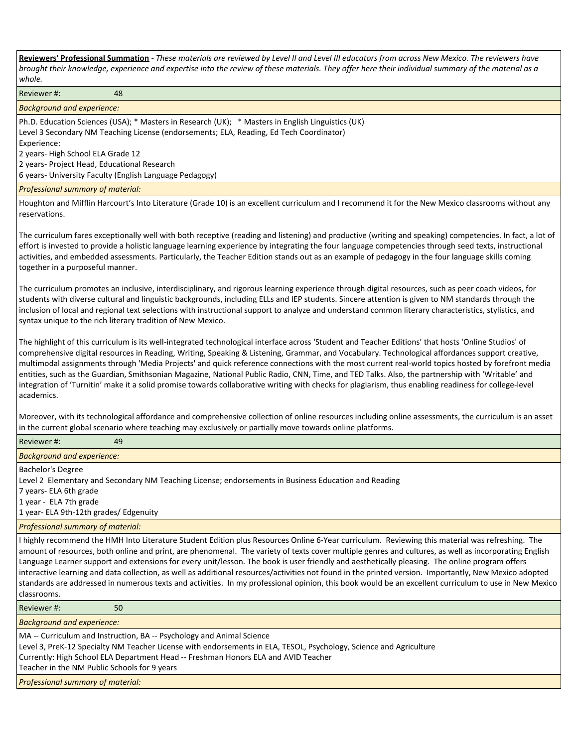**Reviewers' Professional Summation** *- These materials are reviewed by Level II and Level III educators from across New Mexico. The reviewers have brought their knowledge, experience and expertise into the review of these materials. They offer here their individual summary of the material as a whole.*

Reviewer #: 48

*Background and experience:*

Ph.D. Education Sciences (USA); \* Masters in Research (UK); \* Masters in English Linguistics (UK) Level 3 Secondary NM Teaching License (endorsements; ELA, Reading, Ed Tech Coordinator) Experience:

2 years- High School ELA Grade 12

2 years- Project Head, Educational Research

6 years- University Faculty (English Language Pedagogy)

*Professional summary of material:*

Houghton and Mifflin Harcourt's Into Literature (Grade 10) is an excellent curriculum and I recommend it for the New Mexico classrooms without any reservations.

The curriculum fares exceptionally well with both receptive (reading and listening) and productive (writing and speaking) competencies. In fact, a lot of effort is invested to provide a holistic language learning experience by integrating the four language competencies through seed texts, instructional activities, and embedded assessments. Particularly, the Teacher Edition stands out as an example of pedagogy in the four language skills coming together in a purposeful manner.

The curriculum promotes an inclusive, interdisciplinary, and rigorous learning experience through digital resources, such as peer coach videos, for students with diverse cultural and linguistic backgrounds, including ELLs and IEP students. Sincere attention is given to NM standards through the inclusion of local and regional text selections with instructional support to analyze and understand common literary characteristics, stylistics, and syntax unique to the rich literary tradition of New Mexico.

The highlight of this curriculum is its well-integrated technological interface across 'Student and Teacher Editions' that hosts 'Online Studios' of comprehensive digital resources in Reading, Writing, Speaking & Listening, Grammar, and Vocabulary. Technological affordances support creative, multimodal assignments through 'Media Projects' and quick reference connections with the most current real-world topics hosted by forefront media entities, such as the Guardian, Smithsonian Magazine, National Public Radio, CNN, Time, and TED Talks. Also, the partnership with 'Writable' and integration of 'Turnitin' make it a solid promise towards collaborative writing with checks for plagiarism, thus enabling readiness for college-level academics.

Moreover, with its technological affordance and comprehensive collection of online resources including online assessments, the curriculum is an asset in the current global scenario where teaching may exclusively or partially move towards online platforms.

| Reviewer#:<br>49                                                                                                                                                                                                                                                                                                                                                                                                                                                                                                                                                                                                                                                                                                                                                                             |
|----------------------------------------------------------------------------------------------------------------------------------------------------------------------------------------------------------------------------------------------------------------------------------------------------------------------------------------------------------------------------------------------------------------------------------------------------------------------------------------------------------------------------------------------------------------------------------------------------------------------------------------------------------------------------------------------------------------------------------------------------------------------------------------------|
| <b>Background and experience:</b>                                                                                                                                                                                                                                                                                                                                                                                                                                                                                                                                                                                                                                                                                                                                                            |
| Bachelor's Degree<br>Level 2 Elementary and Secondary NM Teaching License; endorsements in Business Education and Reading<br>7 years- ELA 6th grade<br>1 year - ELA 7th grade<br>1 year- ELA 9th-12th grades/ Edgenuity                                                                                                                                                                                                                                                                                                                                                                                                                                                                                                                                                                      |
| Professional summary of material:                                                                                                                                                                                                                                                                                                                                                                                                                                                                                                                                                                                                                                                                                                                                                            |
| I highly recommend the HMH Into Literature Student Edition plus Resources Online 6-Year curriculum. Reviewing this material was refreshing. The<br>amount of resources, both online and print, are phenomenal. The variety of texts cover multiple genres and cultures, as well as incorporating English<br>Language Learner support and extensions for every unit/lesson. The book is user friendly and aesthetically pleasing. The online program offers<br>interactive learning and data collection, as well as additional resources/activities not found in the printed version. Importantly, New Mexico adopted<br>standards are addressed in numerous texts and activities. In my professional opinion, this book would be an excellent curriculum to use in New Mexico<br>classrooms. |
| Reviewer#:<br>50                                                                                                                                                                                                                                                                                                                                                                                                                                                                                                                                                                                                                                                                                                                                                                             |
| <b>Background and experience:</b>                                                                                                                                                                                                                                                                                                                                                                                                                                                                                                                                                                                                                                                                                                                                                            |
| MA -- Curriculum and Instruction, BA -- Psychology and Animal Science<br>Level 3, PreK-12 Specialty NM Teacher License with endorsements in ELA, TESOL, Psychology, Science and Agriculture<br>Currently: High School ELA Department Head -- Freshman Honors ELA and AVID Teacher<br>Teacher in the NM Public Schools for 9 years                                                                                                                                                                                                                                                                                                                                                                                                                                                            |
| Professional summary of material:                                                                                                                                                                                                                                                                                                                                                                                                                                                                                                                                                                                                                                                                                                                                                            |